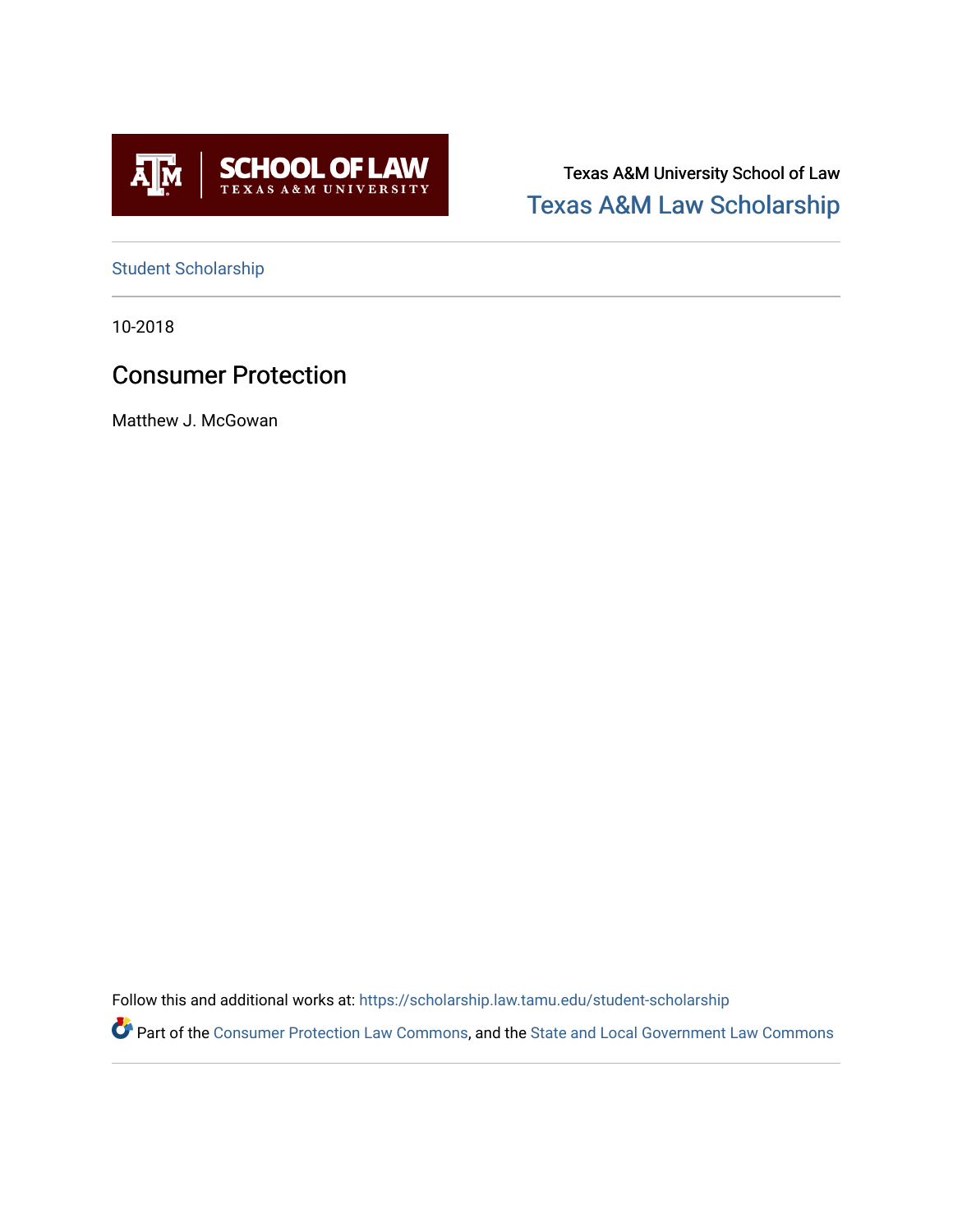

Texas A&M University School of Law [Texas A&M Law Scholarship](https://scholarship.law.tamu.edu/) 

[Student Scholarship](https://scholarship.law.tamu.edu/student-scholarship)

10-2018

## Consumer Protection

Matthew J. McGowan

Follow this and additional works at: [https://scholarship.law.tamu.edu/student-scholarship](https://scholarship.law.tamu.edu/student-scholarship?utm_source=scholarship.law.tamu.edu%2Fstudent-scholarship%2F8&utm_medium=PDF&utm_campaign=PDFCoverPages) 

Part of the [Consumer Protection Law Commons,](https://network.bepress.com/hgg/discipline/838?utm_source=scholarship.law.tamu.edu%2Fstudent-scholarship%2F8&utm_medium=PDF&utm_campaign=PDFCoverPages) and the [State and Local Government Law Commons](https://network.bepress.com/hgg/discipline/879?utm_source=scholarship.law.tamu.edu%2Fstudent-scholarship%2F8&utm_medium=PDF&utm_campaign=PDFCoverPages)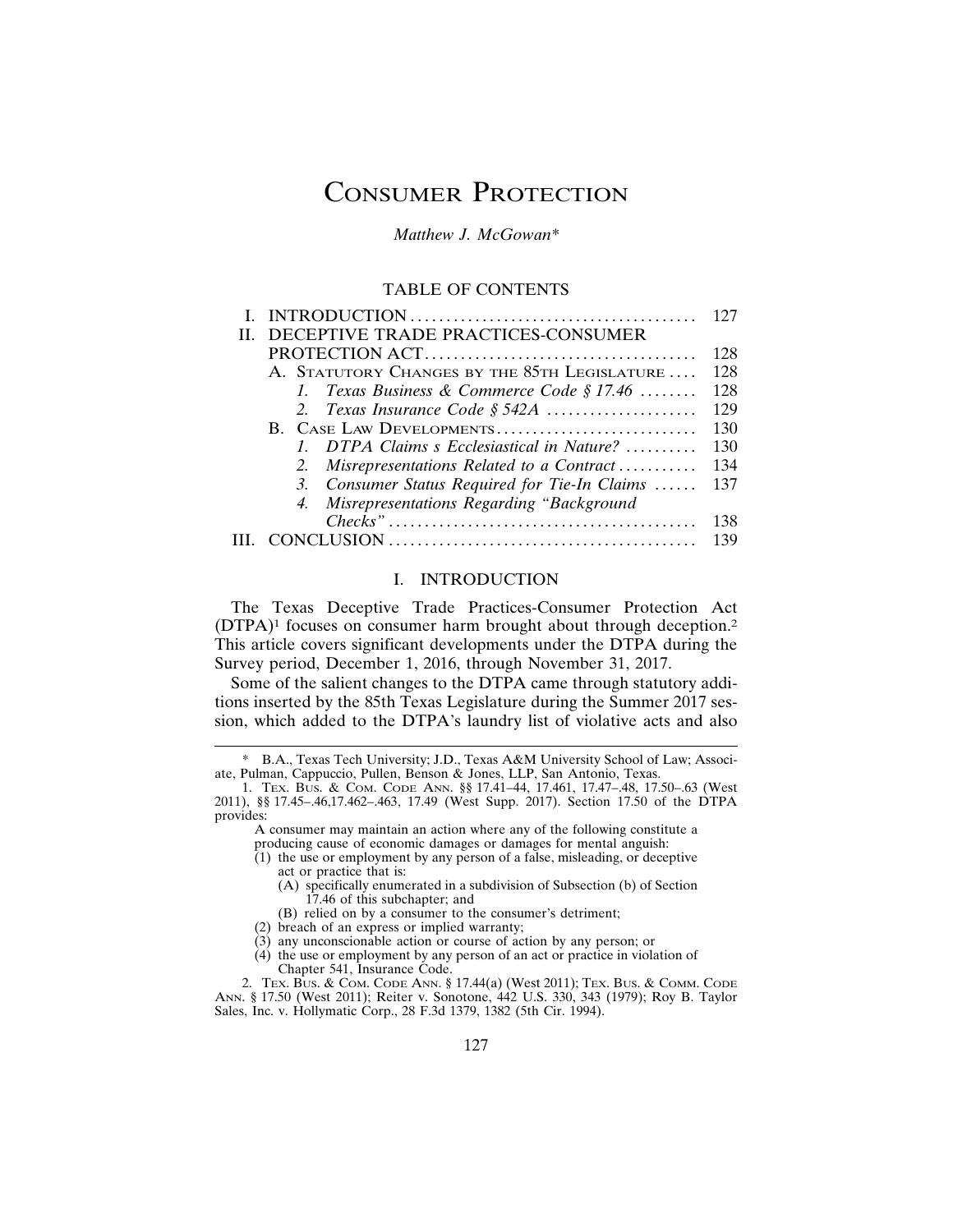# CONSUMER PROTECTION

*Matthew J. McGowan\**

## TABLE OF CONTENTS

|                                               | 127 |
|-----------------------------------------------|-----|
| DECEPTIVE TRADE PRACTICES-CONSUMER            |     |
|                                               | 128 |
| A. STATUTORY CHANGES BY THE 85TH LEGISLATURE  | 128 |
| 1. Texas Business & Commerce Code § 17.46     | 128 |
| 2. Texas Insurance Code $$542A$               | 129 |
| B. CASE LAW DEVELOPMENTS                      | 130 |
| 1. DTPA Claims s Ecclesiastical in Nature?    | 130 |
| 2. Misrepresentations Related to a Contract   | 134 |
| 3. Consumer Status Required for Tie-In Claims | 137 |
| 4. Misrepresentations Regarding "Background"  |     |
|                                               | 138 |
|                                               | 139 |
|                                               |     |

#### I. INTRODUCTION

The Texas Deceptive Trade Practices-Consumer Protection Act (DTPA)1 focuses on consumer harm brought about through deception.2 This article covers significant developments under the DTPA during the Survey period, December 1, 2016, through November 31, 2017.

Some of the salient changes to the DTPA came through statutory additions inserted by the 85th Texas Legislature during the Summer 2017 session, which added to the DTPA's laundry list of violative acts and also

A consumer may maintain an action where any of the following constitute a producing cause of economic damages or damages for mental anguish:

- (2) breach of an express or implied warranty;
- $(3)$  any unconscionable action or course of action by any person; or
- (4) the use or employment by any person of an act or practice in violation of Chapter 541, Insurance Code.

B.A., Texas Tech University; J.D., Texas A&M University School of Law; Associate, Pulman, Cappuccio, Pullen, Benson & Jones, LLP, San Antonio, Texas.

<sup>1.</sup> TEX. BUS. & COM. CODE ANN. §§ 17.41–44, 17.461, 17.47–.48, 17.50–.63 (West 2011), §§ 17.45–.46,17.462–.463, 17.49 (West Supp. 2017). Section 17.50 of the DTPA provides:

 $(1)$  the use or employment by any person of a false, misleading, or deceptive act or practice that is:

<sup>(</sup>A) specifically enumerated in a subdivision of Subsection (b) of Section 17.46 of this subchapter; and

<sup>(</sup>B) relied on by a consumer to the consumer's detriment;

<sup>2.</sup> TEX. BUS. & COM. CODE ANN. § 17.44(a) (West 2011); TEX. BUS. & COMM. CODE ANN. § 17.50 (West 2011); Reiter v. Sonotone, 442 U.S. 330, 343 (1979); Roy B. Taylor Sales, Inc. v. Hollymatic Corp., 28 F.3d 1379, 1382 (5th Cir. 1994).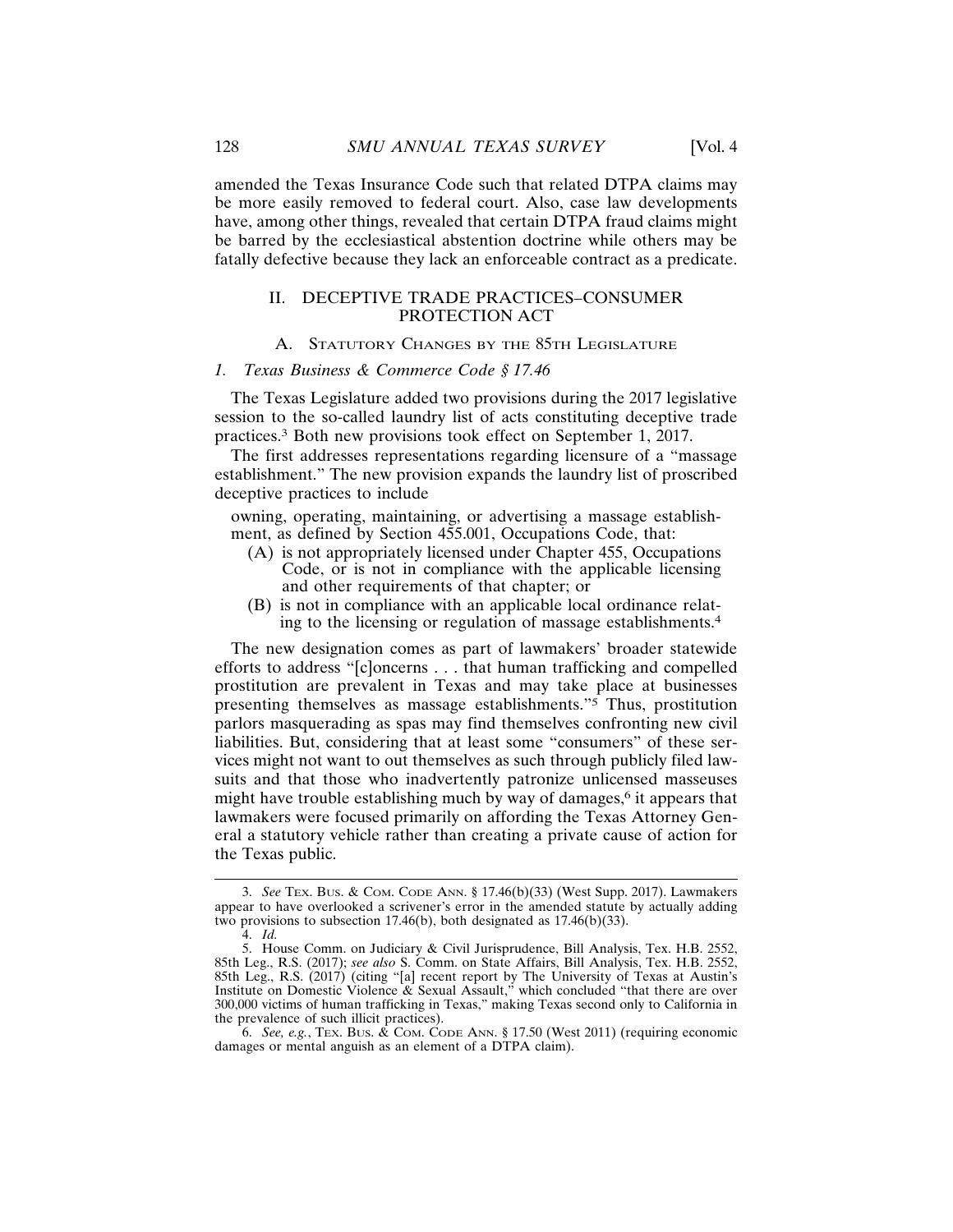amended the Texas Insurance Code such that related DTPA claims may be more easily removed to federal court. Also, case law developments have, among other things, revealed that certain DTPA fraud claims might be barred by the ecclesiastical abstention doctrine while others may be fatally defective because they lack an enforceable contract as a predicate.

## II. DECEPTIVE TRADE PRACTICES–CONSUMER PROTECTION ACT

## A. STATUTORY CHANGES BY THE 85TH LEGISLATURE

#### *1. Texas Business & Commerce Code § 17.46*

The Texas Legislature added two provisions during the 2017 legislative session to the so-called laundry list of acts constituting deceptive trade practices.3 Both new provisions took effect on September 1, 2017.

The first addresses representations regarding licensure of a "massage establishment." The new provision expands the laundry list of proscribed deceptive practices to include

owning, operating, maintaining, or advertising a massage establishment, as defined by Section 455.001, Occupations Code, that:

- (A) is not appropriately licensed under Chapter 455, Occupations Code, or is not in compliance with the applicable licensing and other requirements of that chapter; or
- (B) is not in compliance with an applicable local ordinance relating to the licensing or regulation of massage establishments.<sup>4</sup>

The new designation comes as part of lawmakers' broader statewide efforts to address "[c]oncerns . . . that human trafficking and compelled prostitution are prevalent in Texas and may take place at businesses presenting themselves as massage establishments."5 Thus, prostitution parlors masquerading as spas may find themselves confronting new civil liabilities. But, considering that at least some "consumers" of these services might not want to out themselves as such through publicly filed lawsuits and that those who inadvertently patronize unlicensed masseuses might have trouble establishing much by way of damages,<sup> $6$ </sup> it appears that lawmakers were focused primarily on affording the Texas Attorney General a statutory vehicle rather than creating a private cause of action for the Texas public.

<sup>3.</sup> *See* TEX. BUS. & COM. CODE ANN. § 17.46(b)(33) (West Supp. 2017). Lawmakers appear to have overlooked a scrivener's error in the amended statute by actually adding two provisions to subsection 17.46(b), both designated as 17.46(b)(33).

<sup>4.</sup> *Id.*

<sup>5.</sup> House Comm. on Judiciary & Civil Jurisprudence, Bill Analysis, Tex. H.B. 2552, 85th Leg., R.S. (2017); *see also* S. Comm. on State Affairs, Bill Analysis, Tex. H.B. 2552, 85th Leg., R.S. (2017) (citing "[a] recent report by The University of Texas at Austin's Institute on Domestic Violence & Sexual Assault," which concluded "that there are over 300,000 victims of human trafficking in Texas," making Texas second only to California in the prevalence of such illicit practices).

<sup>6.</sup> *See, e.g.*, TEX. BUS. & COM. CODE ANN. § 17.50 (West 2011) (requiring economic damages or mental anguish as an element of a DTPA claim).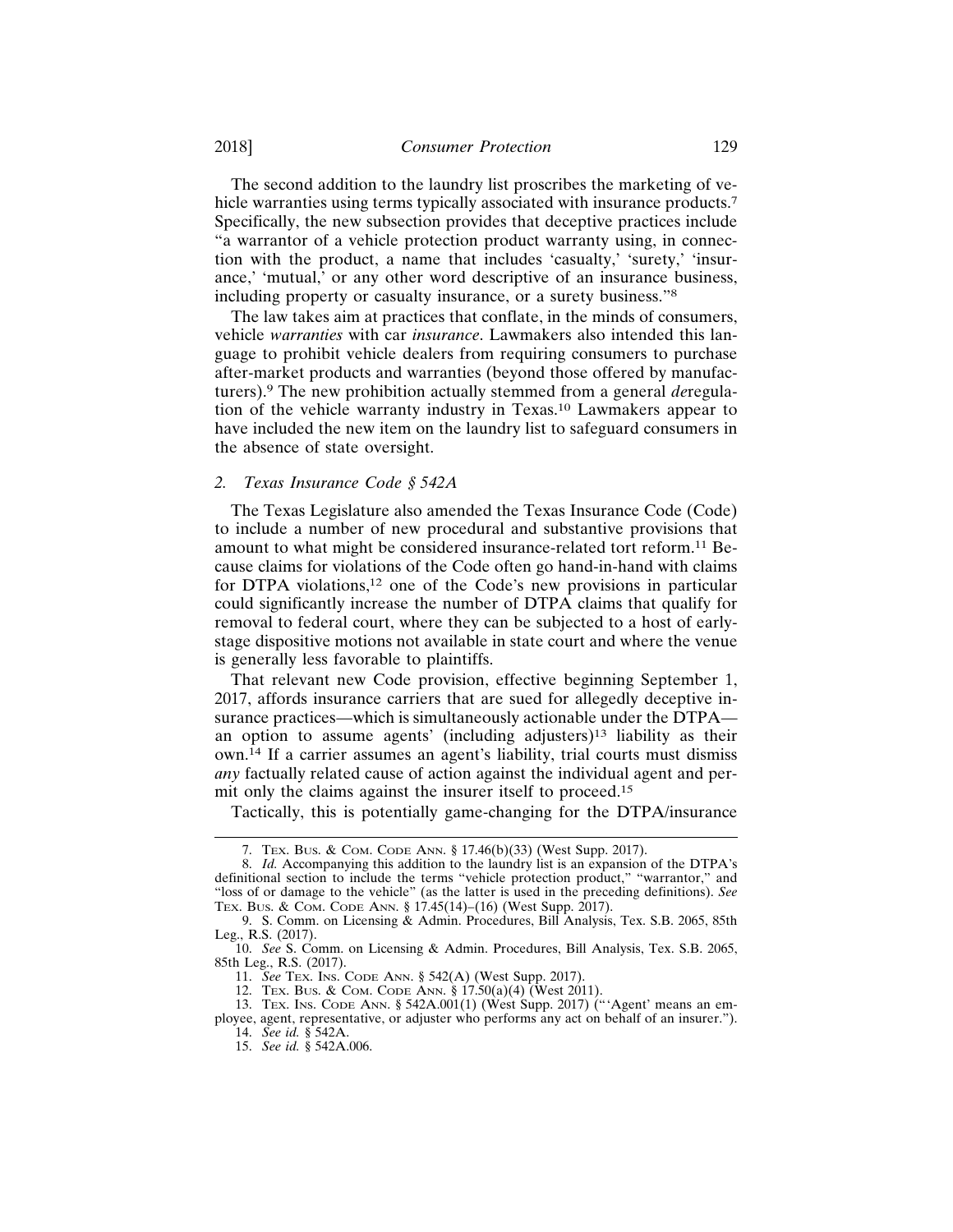The second addition to the laundry list proscribes the marketing of vehicle warranties using terms typically associated with insurance products.<sup>7</sup> Specifically, the new subsection provides that deceptive practices include "a warrantor of a vehicle protection product warranty using, in connection with the product, a name that includes 'casualty,' 'surety,' 'insurance,' 'mutual,' or any other word descriptive of an insurance business, including property or casualty insurance, or a surety business."<sup>8</sup>

The law takes aim at practices that conflate, in the minds of consumers, vehicle *warranties* with car *insurance*. Lawmakers also intended this language to prohibit vehicle dealers from requiring consumers to purchase after-market products and warranties (beyond those offered by manufacturers).9 The new prohibition actually stemmed from a general *de*regulation of the vehicle warranty industry in Texas.10 Lawmakers appear to have included the new item on the laundry list to safeguard consumers in the absence of state oversight.

## *2. Texas Insurance Code § 542A*

The Texas Legislature also amended the Texas Insurance Code (Code) to include a number of new procedural and substantive provisions that amount to what might be considered insurance-related tort reform.<sup>11</sup> Because claims for violations of the Code often go hand-in-hand with claims for DTPA violations,12 one of the Code's new provisions in particular could significantly increase the number of DTPA claims that qualify for removal to federal court, where they can be subjected to a host of earlystage dispositive motions not available in state court and where the venue is generally less favorable to plaintiffs.

That relevant new Code provision, effective beginning September 1, 2017, affords insurance carriers that are sued for allegedly deceptive insurance practices—which is simultaneously actionable under the DTPA an option to assume agents' (including adjusters)13 liability as their own.14 If a carrier assumes an agent's liability, trial courts must dismiss *any* factually related cause of action against the individual agent and permit only the claims against the insurer itself to proceed.<sup>15</sup>

Tactically, this is potentially game-changing for the DTPA/insurance

12. TEX. BUS. & COM. CODE ANN.  $\S 17.50(a)(4)$  (West 2011).

<sup>7.</sup> TEX. BUS. & COM. CODE ANN. § 17.46(b)(33) (West Supp. 2017).

<sup>8.</sup> *Id.* Accompanying this addition to the laundry list is an expansion of the DTPA's definitional section to include the terms "vehicle protection product," "warrantor," and "loss of or damage to the vehicle" (as the latter is used in the preceding definitions). *See* TEX. BUS. & COM. CODE ANN. § 17.45(14)–(16) (West Supp. 2017).

<sup>9.</sup> S. Comm. on Licensing & Admin. Procedures, Bill Analysis, Tex. S.B. 2065, 85th Leg., R.S. (2017).

<sup>10.</sup> *See* S. Comm. on Licensing & Admin. Procedures, Bill Analysis, Tex. S.B. 2065, 85th Leg., R.S. (2017).

<sup>11.</sup> *See* TEX. INS. CODE ANN. § 542(A) (West Supp. 2017).

<sup>13.</sup> TEX. INS. CODE ANN. § 542A.001(1) (West Supp. 2017) ("'Agent' means an employee, agent, representative, or adjuster who performs any act on behalf of an insurer."). 14. *See id.* § 542A.

<sup>15.</sup> *See id.* § 542A.006.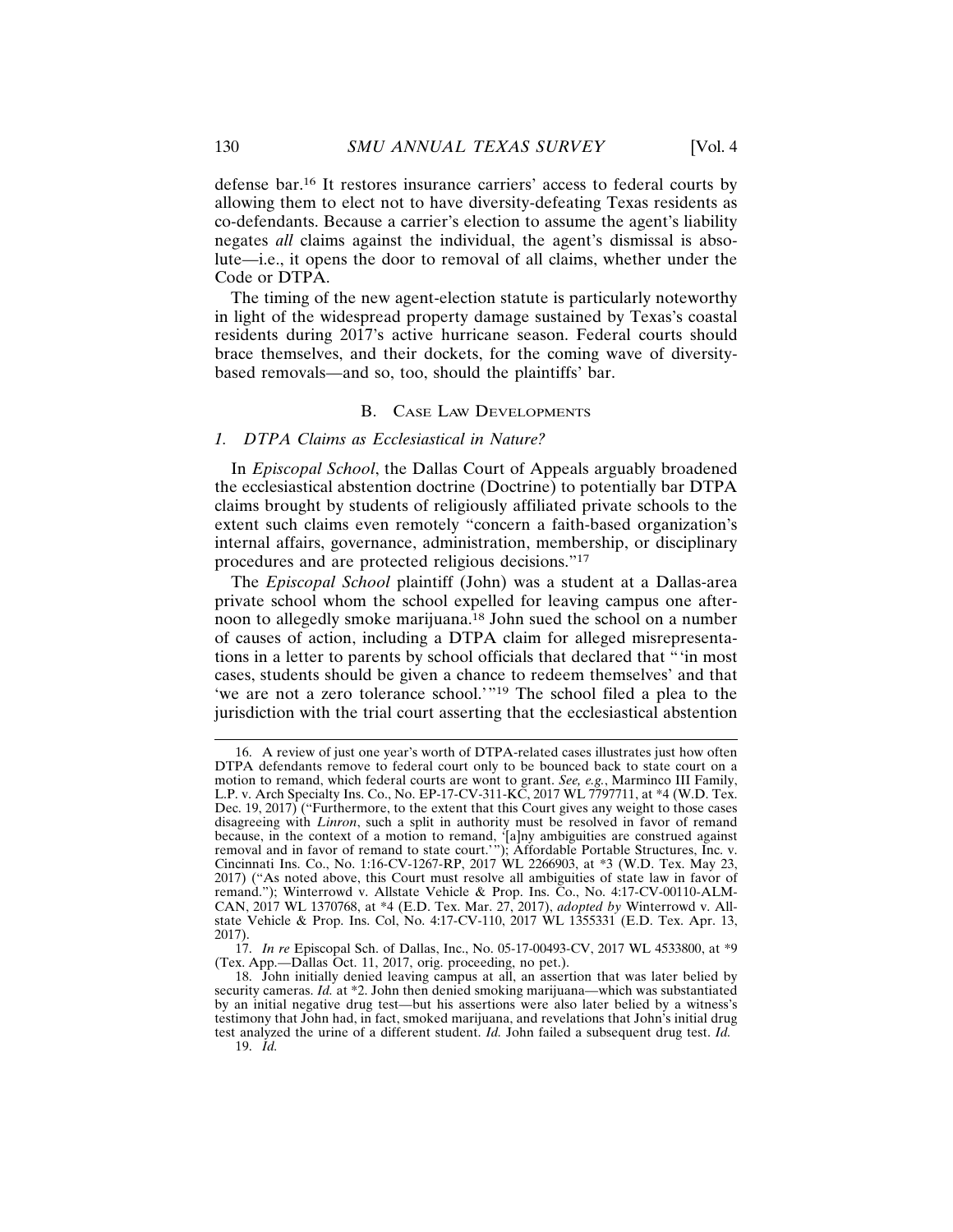defense bar.16 It restores insurance carriers' access to federal courts by allowing them to elect not to have diversity-defeating Texas residents as co-defendants. Because a carrier's election to assume the agent's liability negates *all* claims against the individual, the agent's dismissal is absolute—i.e., it opens the door to removal of all claims, whether under the Code or DTPA.

The timing of the new agent-election statute is particularly noteworthy in light of the widespread property damage sustained by Texas's coastal residents during 2017's active hurricane season. Federal courts should brace themselves, and their dockets, for the coming wave of diversitybased removals—and so, too, should the plaintiffs' bar.

## B. CASE LAW DEVELOPMENTS

#### *1. DTPA Claims as Ecclesiastical in Nature?*

In *Episcopal School*, the Dallas Court of Appeals arguably broadened the ecclesiastical abstention doctrine (Doctrine) to potentially bar DTPA claims brought by students of religiously affiliated private schools to the extent such claims even remotely "concern a faith-based organization's internal affairs, governance, administration, membership, or disciplinary procedures and are protected religious decisions."<sup>17</sup>

The *Episcopal School* plaintiff (John) was a student at a Dallas-area private school whom the school expelled for leaving campus one afternoon to allegedly smoke marijuana.18 John sued the school on a number of causes of action, including a DTPA claim for alleged misrepresentations in a letter to parents by school officials that declared that "'in most cases, students should be given a chance to redeem themselves' and that 'we are not a zero tolerance school.'"19 The school filed a plea to the jurisdiction with the trial court asserting that the ecclesiastical abstention

<sup>16.</sup> A review of just one year's worth of DTPA-related cases illustrates just how often DTPA defendants remove to federal court only to be bounced back to state court on a motion to remand, which federal courts are wont to grant. *See, e.g.*, Marminco III Family, L.P. v. Arch Specialty Ins. Co., No. EP-17-CV-311-KC, 2017 WL 7797711, at \*4 (W.D. Tex. Dec. 19, 2017) ("Furthermore, to the extent that this Court gives any weight to those cases disagreeing with *Linron*, such a split in authority must be resolved in favor of remand because, in the context of a motion to remand, '[a]ny ambiguities are construed against removal and in favor of remand to state court.'"); Affordable Portable Structures, Inc. v. Cincinnati Ins. Co., No. 1:16-CV-1267-RP, 2017 WL 2266903, at \*3 (W.D. Tex. May 23, 2017) ("As noted above, this Court must resolve all ambiguities of state law in favor of remand."); Winterrowd v. Allstate Vehicle & Prop. Ins. Co., No. 4:17-CV-00110-ALM-CAN, 2017 WL 1370768, at \*4 (E.D. Tex. Mar. 27, 2017), *adopted by* Winterrowd v. Allstate Vehicle & Prop. Ins. Col, No. 4:17-CV-110, 2017 WL 1355331 (E.D. Tex. Apr. 13, 2017).

<sup>17.</sup> *In re* Episcopal Sch. of Dallas, Inc., No. 05-17-00493-CV, 2017 WL 4533800, at \*9 (Tex. App.—Dallas Oct. 11, 2017, orig. proceeding, no pet.).

<sup>18.</sup> John initially denied leaving campus at all, an assertion that was later belied by security cameras. *Id.* at \*2. John then denied smoking marijuana—which was substantiated by an initial negative drug test—but his assertions were also later belied by a witness's testimony that John had, in fact, smoked marijuana, and revelations that John's initial drug test analyzed the urine of a different student. *Id.* John failed a subsequent drug test. *Id.* 19. *Id.*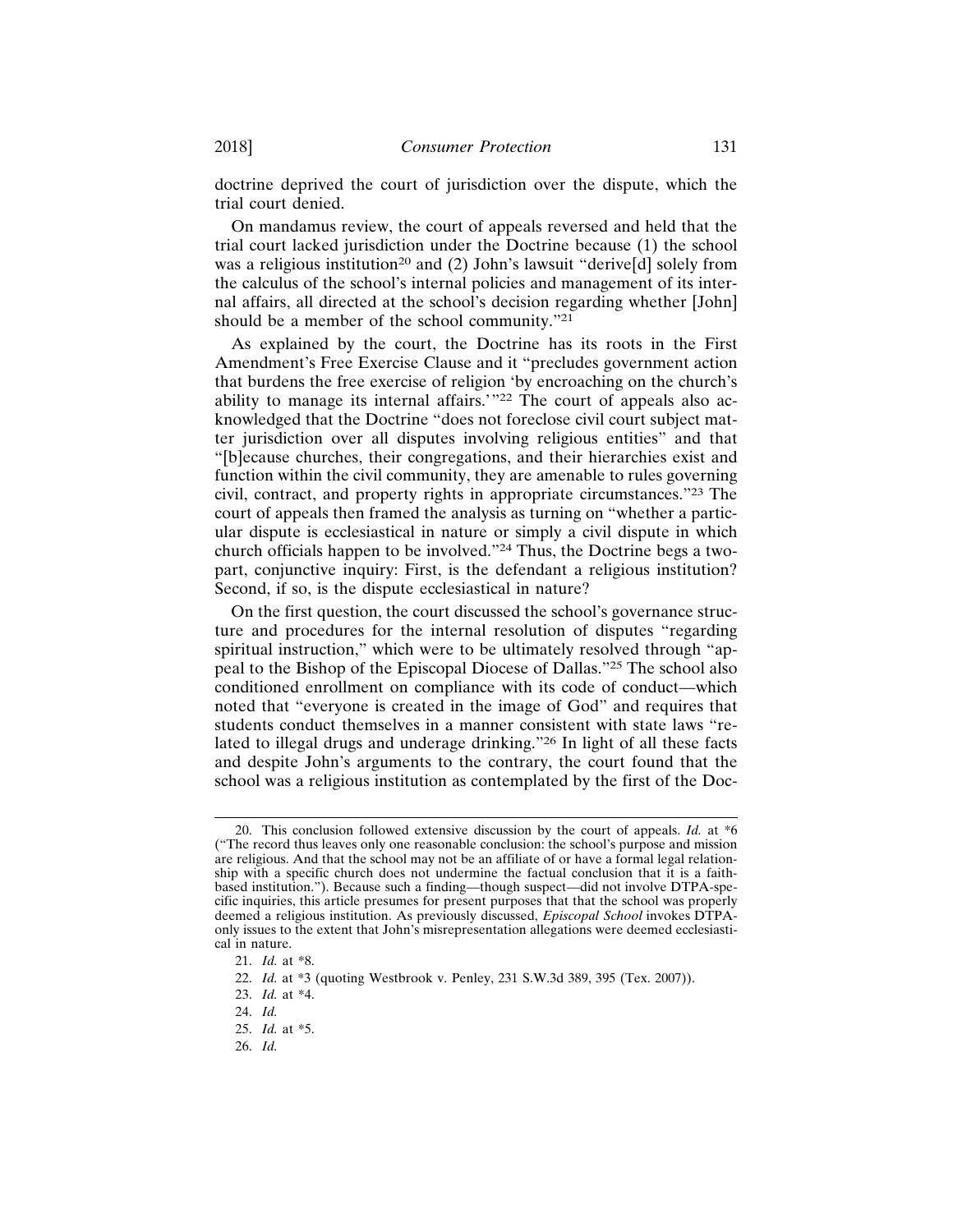doctrine deprived the court of jurisdiction over the dispute, which the trial court denied.

On mandamus review, the court of appeals reversed and held that the trial court lacked jurisdiction under the Doctrine because (1) the school was a religious institution<sup>20</sup> and (2) John's lawsuit "derive[d] solely from the calculus of the school's internal policies and management of its internal affairs, all directed at the school's decision regarding whether [John] should be a member of the school community."<sup>21</sup>

As explained by the court, the Doctrine has its roots in the First Amendment's Free Exercise Clause and it "precludes government action that burdens the free exercise of religion 'by encroaching on the church's ability to manage its internal affairs.'"22 The court of appeals also acknowledged that the Doctrine "does not foreclose civil court subject matter jurisdiction over all disputes involving religious entities" and that "[b]ecause churches, their congregations, and their hierarchies exist and function within the civil community, they are amenable to rules governing civil, contract, and property rights in appropriate circumstances."23 The court of appeals then framed the analysis as turning on "whether a particular dispute is ecclesiastical in nature or simply a civil dispute in which church officials happen to be involved."24 Thus, the Doctrine begs a twopart, conjunctive inquiry: First, is the defendant a religious institution? Second, if so, is the dispute ecclesiastical in nature?

On the first question, the court discussed the school's governance structure and procedures for the internal resolution of disputes "regarding spiritual instruction," which were to be ultimately resolved through "appeal to the Bishop of the Episcopal Diocese of Dallas."25 The school also conditioned enrollment on compliance with its code of conduct—which noted that "everyone is created in the image of God" and requires that students conduct themselves in a manner consistent with state laws "related to illegal drugs and underage drinking."26 In light of all these facts and despite John's arguments to the contrary, the court found that the school was a religious institution as contemplated by the first of the Doc-

<sup>20.</sup> This conclusion followed extensive discussion by the court of appeals. *Id.* at \*6 ("The record thus leaves only one reasonable conclusion: the school's purpose and mission are religious. And that the school may not be an affiliate of or have a formal legal relationship with a specific church does not undermine the factual conclusion that it is a faithbased institution."). Because such a finding—though suspect—did not involve DTPA-specific inquiries, this article presumes for present purposes that that the school was properly deemed a religious institution. As previously discussed, *Episcopal School* invokes DTPAonly issues to the extent that John's misrepresentation allegations were deemed ecclesiastical in nature.

<sup>21.</sup> *Id.* at \*8.

<sup>22.</sup> *Id.* at \*3 (quoting Westbrook v. Penley, 231 S.W.3d 389, 395 (Tex. 2007)).

<sup>23.</sup> *Id.* at \*4.

<sup>24.</sup> *Id.*

<sup>25.</sup> *Id.* at \*5.

<sup>26.</sup> *Id.*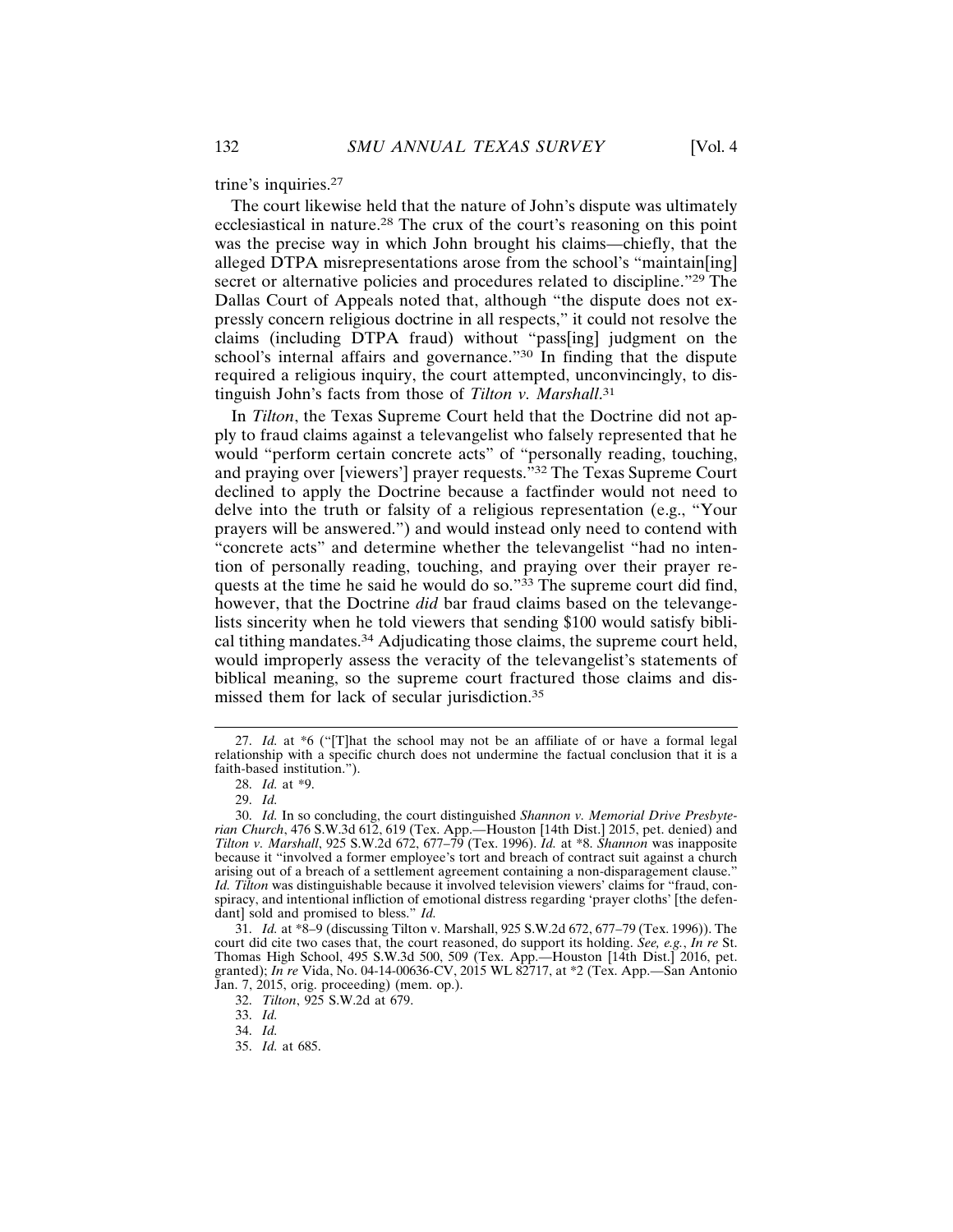trine's inquiries.<sup>27</sup>

The court likewise held that the nature of John's dispute was ultimately ecclesiastical in nature.28 The crux of the court's reasoning on this point was the precise way in which John brought his claims—chiefly, that the alleged DTPA misrepresentations arose from the school's "maintain[ing] secret or alternative policies and procedures related to discipline."<sup>29</sup> The Dallas Court of Appeals noted that, although "the dispute does not expressly concern religious doctrine in all respects," it could not resolve the claims (including DTPA fraud) without "pass[ing] judgment on the school's internal affairs and governance."<sup>30</sup> In finding that the dispute required a religious inquiry, the court attempted, unconvincingly, to distinguish John's facts from those of *Tilton v. Marshall*. 31

In *Tilton*, the Texas Supreme Court held that the Doctrine did not apply to fraud claims against a televangelist who falsely represented that he would "perform certain concrete acts" of "personally reading, touching, and praying over [viewers'] prayer requests."32 The Texas Supreme Court declined to apply the Doctrine because a factfinder would not need to delve into the truth or falsity of a religious representation (e.g., "Your prayers will be answered.") and would instead only need to contend with "concrete acts" and determine whether the televangelist "had no intention of personally reading, touching, and praying over their prayer requests at the time he said he would do so."<sup>33</sup> The supreme court did find, however, that the Doctrine *did* bar fraud claims based on the televangelists sincerity when he told viewers that sending \$100 would satisfy biblical tithing mandates.34 Adjudicating those claims, the supreme court held, would improperly assess the veracity of the televangelist's statements of biblical meaning, so the supreme court fractured those claims and dismissed them for lack of secular jurisdiction.<sup>35</sup>

<sup>27.</sup> *Id.* at \*6 ("[T]hat the school may not be an affiliate of or have a formal legal relationship with a specific church does not undermine the factual conclusion that it is a faith-based institution.").

<sup>28.</sup> *Id.* at \*9.

<sup>29.</sup> *Id.*

<sup>30.</sup> *Id.* In so concluding, the court distinguished *Shannon v. Memorial Drive Presbyterian Church*, 476 S.W.3d 612, 619 (Tex. App.—Houston [14th Dist.] 2015, pet. denied) and *Tilton v. Marshall*, 925 S.W.2d 672, 677–79 (Tex. 1996). *Id.* at \*8. *Shannon* was inapposite because it "involved a former employee's tort and breach of contract suit against a church arising out of a breach of a settlement agreement containing a non-disparagement clause." *Id. Tilton* was distinguishable because it involved television viewers' claims for "fraud, conspiracy, and intentional infliction of emotional distress regarding 'prayer cloths' [the defendant] sold and promised to bless." *Id.*

<sup>31.</sup> *Id.* at \*8–9 (discussing Tilton v. Marshall, 925 S.W.2d 672, 677–79 (Tex. 1996)). The court did cite two cases that, the court reasoned, do support its holding. *See, e.g.*, *In re* St. Thomas High School, 495 S.W.3d 500, 509 (Tex. App.—Houston [14th Dist.] 2016, pet. granted); *In re* Vida, No. 04-14-00636-CV, 2015 WL 82717, at \*2 (Tex. App.—San Antonio Jan. 7, 2015, orig. proceeding) (mem. op.).

<sup>32.</sup> *Tilton*, 925 S.W.2d at 679.

<sup>33.</sup> *Id.*

<sup>34.</sup> *Id.*

<sup>35.</sup> *Id.* at 685.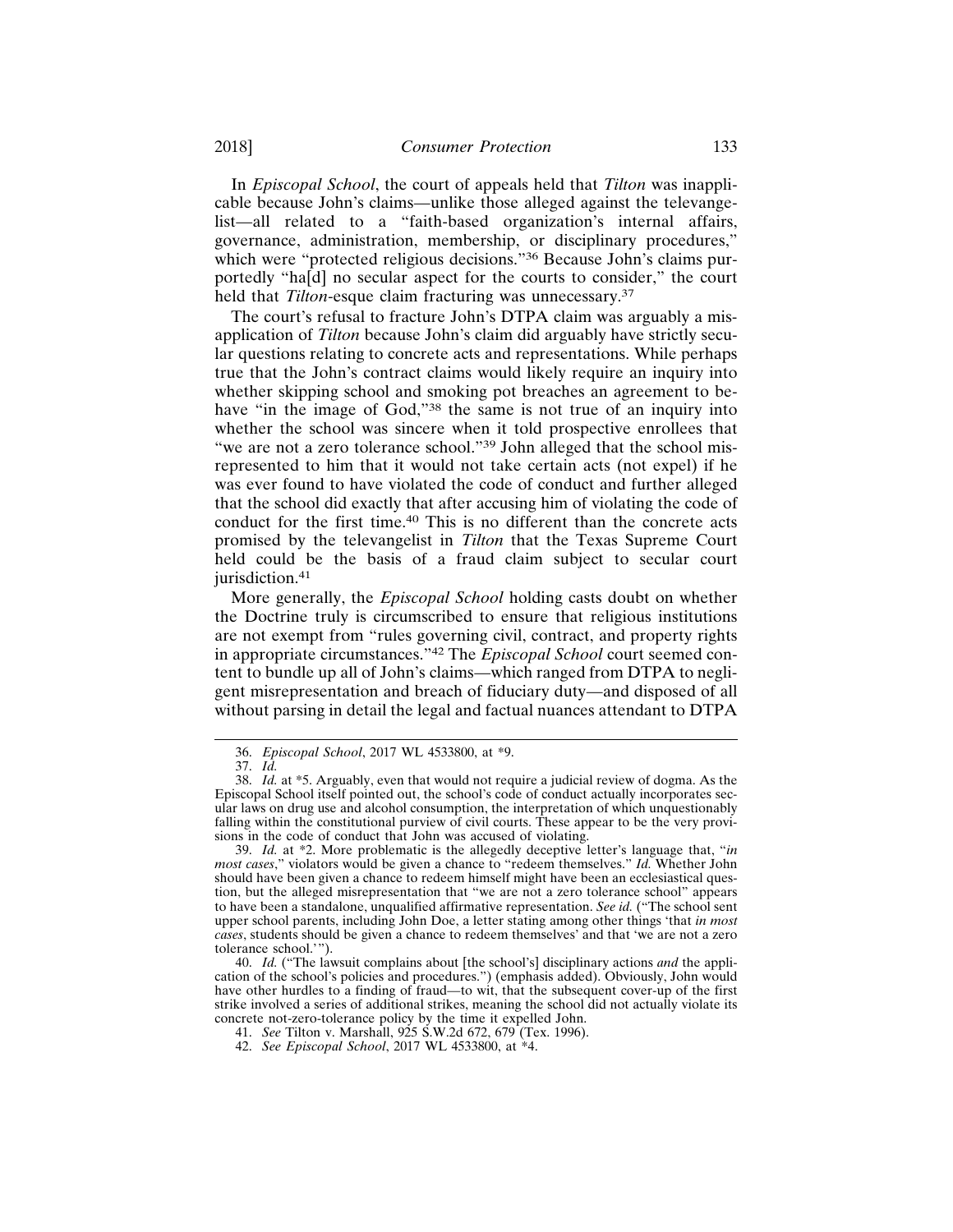In *Episcopal School*, the court of appeals held that *Tilton* was inapplicable because John's claims—unlike those alleged against the televangelist—all related to a "faith-based organization's internal affairs, governance, administration, membership, or disciplinary procedures," which were "protected religious decisions."<sup>36</sup> Because John's claims purportedly "ha[d] no secular aspect for the courts to consider," the court held that *Tilton*-esque claim fracturing was unnecessary.<sup>37</sup>

The court's refusal to fracture John's DTPA claim was arguably a misapplication of *Tilton* because John's claim did arguably have strictly secular questions relating to concrete acts and representations. While perhaps true that the John's contract claims would likely require an inquiry into whether skipping school and smoking pot breaches an agreement to behave "in the image of God,"<sup>38</sup> the same is not true of an inquiry into whether the school was sincere when it told prospective enrollees that "we are not a zero tolerance school."39 John alleged that the school misrepresented to him that it would not take certain acts (not expel) if he was ever found to have violated the code of conduct and further alleged that the school did exactly that after accusing him of violating the code of conduct for the first time.40 This is no different than the concrete acts promised by the televangelist in *Tilton* that the Texas Supreme Court held could be the basis of a fraud claim subject to secular court jurisdiction.<sup>41</sup>

More generally, the *Episcopal School* holding casts doubt on whether the Doctrine truly is circumscribed to ensure that religious institutions are not exempt from "rules governing civil, contract, and property rights in appropriate circumstances."42 The *Episcopal School* court seemed content to bundle up all of John's claims—which ranged from DTPA to negligent misrepresentation and breach of fiduciary duty—and disposed of all without parsing in detail the legal and factual nuances attendant to DTPA

<sup>36.</sup> *Episcopal School*, 2017 WL 4533800, at \*9.

<sup>37.</sup> *Id.*

<sup>38.</sup> *Id.* at \*5. Arguably, even that would not require a judicial review of dogma. As the Episcopal School itself pointed out, the school's code of conduct actually incorporates secular laws on drug use and alcohol consumption, the interpretation of which unquestionably falling within the constitutional purview of civil courts. These appear to be the very provisions in the code of conduct that John was accused of violating.

<sup>39.</sup> *Id.* at \*2. More problematic is the allegedly deceptive letter's language that, "*in most cases*," violators would be given a chance to "redeem themselves." *Id.* Whether John should have been given a chance to redeem himself might have been an ecclesiastical question, but the alleged misrepresentation that "we are not a zero tolerance school" appears to have been a standalone, unqualified affirmative representation. *See id.* ("The school sent upper school parents, including John Doe, a letter stating among other things 'that *in most cases*, students should be given a chance to redeem themselves' and that 'we are not a zero tolerance school.'").

<sup>40.</sup> *Id.* ("The lawsuit complains about [the school's] disciplinary actions *and* the application of the school's policies and procedures.") (emphasis added). Obviously, John would have other hurdles to a finding of fraud—to wit, that the subsequent cover-up of the first strike involved a series of additional strikes, meaning the school did not actually violate its concrete not-zero-tolerance policy by the time it expelled John.

<sup>41.</sup> *See* Tilton v. Marshall, 925 S.W.2d 672, 679 (Tex. 1996).

<sup>42.</sup> *See Episcopal School*, 2017 WL 4533800, at \*4.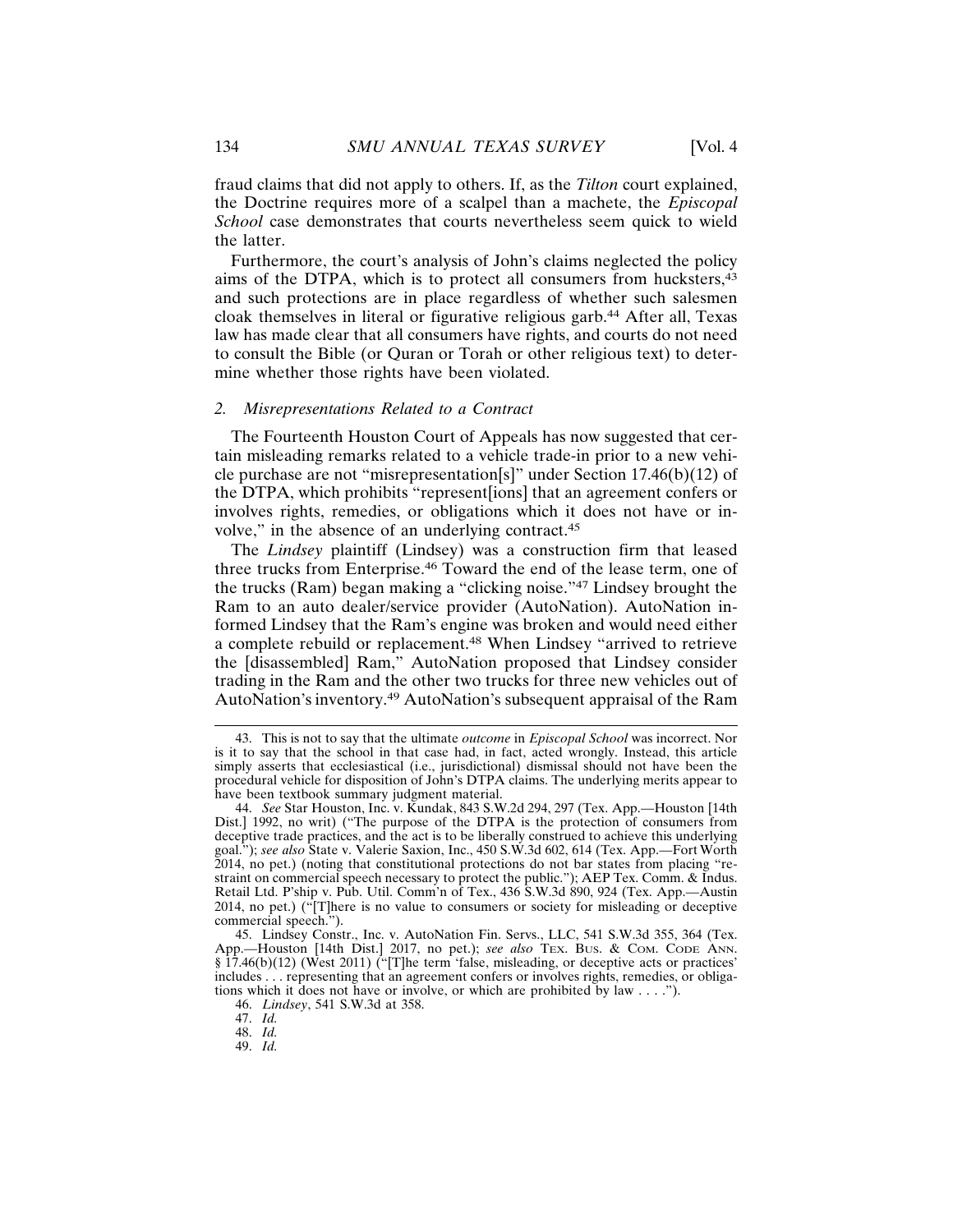fraud claims that did not apply to others. If, as the *Tilton* court explained, the Doctrine requires more of a scalpel than a machete, the *Episcopal School* case demonstrates that courts nevertheless seem quick to wield the latter.

Furthermore, the court's analysis of John's claims neglected the policy aims of the DTPA, which is to protect all consumers from hucksters,<sup>43</sup> and such protections are in place regardless of whether such salesmen cloak themselves in literal or figurative religious garb.44 After all, Texas law has made clear that all consumers have rights, and courts do not need to consult the Bible (or Quran or Torah or other religious text) to determine whether those rights have been violated.

#### *2. Misrepresentations Related to a Contract*

The Fourteenth Houston Court of Appeals has now suggested that certain misleading remarks related to a vehicle trade-in prior to a new vehicle purchase are not "misrepresentation[s]" under Section 17.46(b)(12) of the DTPA, which prohibits "represent[ions] that an agreement confers or involves rights, remedies, or obligations which it does not have or involve," in the absence of an underlying contract.<sup>45</sup>

The *Lindsey* plaintiff (Lindsey) was a construction firm that leased three trucks from Enterprise.46 Toward the end of the lease term, one of the trucks (Ram) began making a "clicking noise."47 Lindsey brought the Ram to an auto dealer/service provider (AutoNation). AutoNation informed Lindsey that the Ram's engine was broken and would need either a complete rebuild or replacement.48 When Lindsey "arrived to retrieve the [disassembled] Ram," AutoNation proposed that Lindsey consider trading in the Ram and the other two trucks for three new vehicles out of AutoNation's inventory.49 AutoNation's subsequent appraisal of the Ram

48. *Id.*

<sup>43.</sup> This is not to say that the ultimate *outcome* in *Episcopal School* was incorrect. Nor is it to say that the school in that case had, in fact, acted wrongly. Instead, this article simply asserts that ecclesiastical (i.e., jurisdictional) dismissal should not have been the procedural vehicle for disposition of John's DTPA claims. The underlying merits appear to have been textbook summary judgment material.

<sup>44.</sup> *See* Star Houston, Inc. v. Kundak, 843 S.W.2d 294, 297 (Tex. App.—Houston [14th Dist.] 1992, no writ) ("The purpose of the DTPA is the protection of consumers from deceptive trade practices, and the act is to be liberally construed to achieve this underlying goal."); *see also* State v. Valerie Saxion, Inc., 450 S.W.3d 602, 614 (Tex. App.—Fort Worth 2014, no pet.) (noting that constitutional protections do not bar states from placing "restraint on commercial speech necessary to protect the public."); AEP Tex. Comm. & Indus. Retail Ltd. P'ship v. Pub. Util. Comm'n of Tex., 436 S.W.3d 890, 924 (Tex. App.—Austin 2014, no pet.) ("[T]here is no value to consumers or society for misleading or deceptive commercial speech.").

<sup>45.</sup> Lindsey Constr., Inc. v. AutoNation Fin. Servs., LLC, 541 S.W.3d 355, 364 (Tex. App.—Houston [14th Dist.] 2017, no pet.); *see also* TEx. Bus. & COM. CODE ANN. § 17.46(b)(12) (West 2011) ("[T]he term 'false, misleading, or deceptive acts or practices' includes . . . representing that an agreement confers or involves rights, remedies, or obligations which it does not have or involve, or which are prohibited by law . . . .").

<sup>46.</sup> *Lindsey*, 541 S.W.3d at 358.

<sup>47.</sup> *Id.*

<sup>49.</sup> *Id.*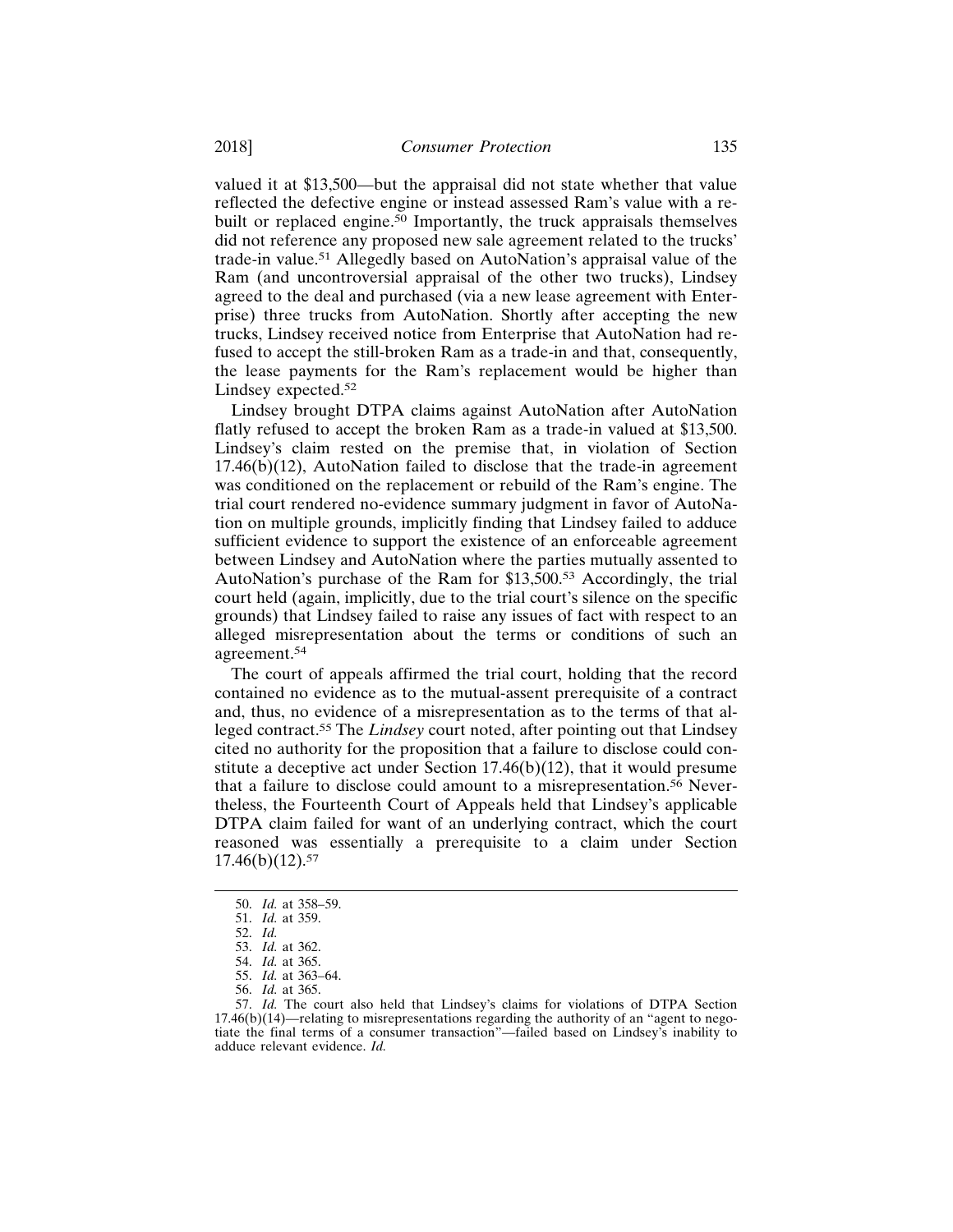valued it at \$13,500—but the appraisal did not state whether that value reflected the defective engine or instead assessed Ram's value with a rebuilt or replaced engine.<sup>50</sup> Importantly, the truck appraisals themselves did not reference any proposed new sale agreement related to the trucks' trade-in value.51 Allegedly based on AutoNation's appraisal value of the Ram (and uncontroversial appraisal of the other two trucks), Lindsey agreed to the deal and purchased (via a new lease agreement with Enterprise) three trucks from AutoNation. Shortly after accepting the new trucks, Lindsey received notice from Enterprise that AutoNation had refused to accept the still-broken Ram as a trade-in and that, consequently, the lease payments for the Ram's replacement would be higher than Lindsey expected.<sup>52</sup>

Lindsey brought DTPA claims against AutoNation after AutoNation flatly refused to accept the broken Ram as a trade-in valued at \$13,500. Lindsey's claim rested on the premise that, in violation of Section  $17.46(b)(12)$ , AutoNation failed to disclose that the trade-in agreement was conditioned on the replacement or rebuild of the Ram's engine. The trial court rendered no-evidence summary judgment in favor of AutoNation on multiple grounds, implicitly finding that Lindsey failed to adduce sufficient evidence to support the existence of an enforceable agreement between Lindsey and AutoNation where the parties mutually assented to AutoNation's purchase of the Ram for \$13,500.53 Accordingly, the trial court held (again, implicitly, due to the trial court's silence on the specific grounds) that Lindsey failed to raise any issues of fact with respect to an alleged misrepresentation about the terms or conditions of such an agreement.54

The court of appeals affirmed the trial court, holding that the record contained no evidence as to the mutual-assent prerequisite of a contract and, thus, no evidence of a misrepresentation as to the terms of that alleged contract.55 The *Lindsey* court noted, after pointing out that Lindsey cited no authority for the proposition that a failure to disclose could constitute a deceptive act under Section 17.46(b)(12), that it would presume that a failure to disclose could amount to a misrepresentation.<sup>56</sup> Nevertheless, the Fourteenth Court of Appeals held that Lindsey's applicable DTPA claim failed for want of an underlying contract, which the court reasoned was essentially a prerequisite to a claim under Section  $17.46(b)(12).57$ 

56. *Id.* at 365.

<sup>50.</sup> *Id.* at 358–59.

<sup>51.</sup> *Id.* at 359.

<sup>52.</sup> *Id.*

<sup>53.</sup> *Id.* at 362.

<sup>54.</sup> *Id.* at 365.

<sup>55.</sup> *Id.* at 363–64.

<sup>57.</sup> *Id.* The court also held that Lindsey's claims for violations of DTPA Section 17.46(b)(14)—relating to misrepresentations regarding the authority of an "agent to negotiate the final terms of a consumer transaction"—failed based on Lindsey's inability to adduce relevant evidence. *Id.*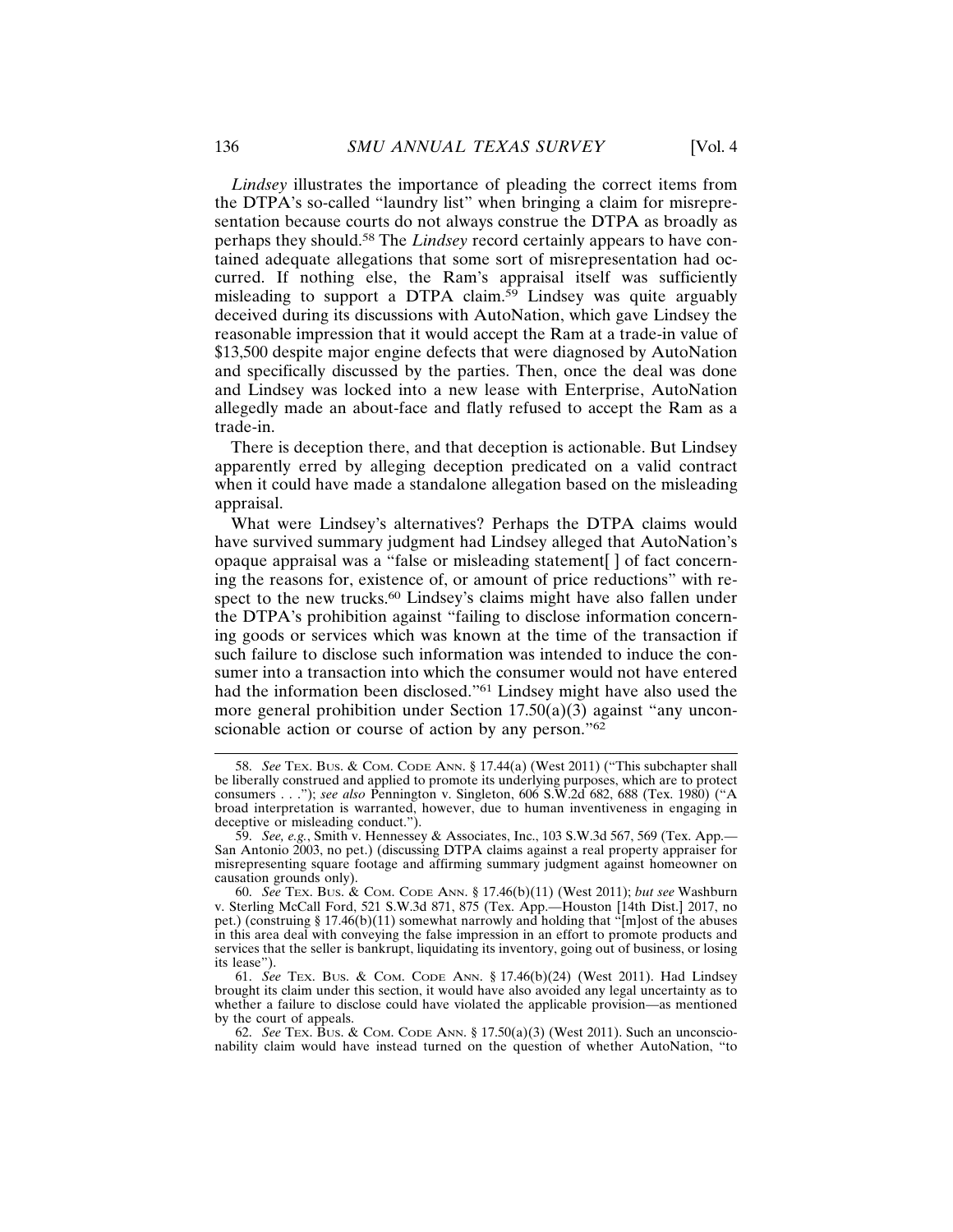*Lindsey* illustrates the importance of pleading the correct items from the DTPA's so-called "laundry list" when bringing a claim for misrepresentation because courts do not always construe the DTPA as broadly as perhaps they should.58 The *Lindsey* record certainly appears to have contained adequate allegations that some sort of misrepresentation had occurred. If nothing else, the Ram's appraisal itself was sufficiently misleading to support a DTPA claim.59 Lindsey was quite arguably deceived during its discussions with AutoNation, which gave Lindsey the reasonable impression that it would accept the Ram at a trade-in value of \$13,500 despite major engine defects that were diagnosed by AutoNation and specifically discussed by the parties. Then, once the deal was done and Lindsey was locked into a new lease with Enterprise, AutoNation allegedly made an about-face and flatly refused to accept the Ram as a trade-in.

There is deception there, and that deception is actionable. But Lindsey apparently erred by alleging deception predicated on a valid contract when it could have made a standalone allegation based on the misleading appraisal.

What were Lindsey's alternatives? Perhaps the DTPA claims would have survived summary judgment had Lindsey alleged that AutoNation's opaque appraisal was a "false or misleading statement[ ] of fact concerning the reasons for, existence of, or amount of price reductions" with respect to the new trucks.<sup>60</sup> Lindsey's claims might have also fallen under the DTPA's prohibition against "failing to disclose information concerning goods or services which was known at the time of the transaction if such failure to disclose such information was intended to induce the consumer into a transaction into which the consumer would not have entered had the information been disclosed."61 Lindsey might have also used the more general prohibition under Section  $17.50(a)(3)$  against "any unconscionable action or course of action by any person."<sup>62</sup>

<sup>58.</sup> *See* TEX. BUS. & COM. CODE ANN. § 17.44(a) (West 2011) ("This subchapter shall be liberally construed and applied to promote its underlying purposes, which are to protect consumers . . ."); *see also* Pennington v. Singleton, 606 S.W.2d 682, 688 (Tex. 1980) ("A broad interpretation is warranted, however, due to human inventiveness in engaging in deceptive or misleading conduct.").

<sup>59.</sup> *See, e.g.*, Smith v. Hennessey & Associates, Inc., 103 S.W.3d 567, 569 (Tex. App.— San Antonio 2003, no pet.) (discussing DTPA claims against a real property appraiser for misrepresenting square footage and affirming summary judgment against homeowner on causation grounds only).

<sup>60.</sup> *See* TEX. BUS. & COM. CODE ANN. § 17.46(b)(11) (West 2011); *but see* Washburn v. Sterling McCall Ford, 521 S.W.3d 871, 875 (Tex. App.—Houston [14th Dist.] 2017, no pet.) (construing § 17.46(b)(11) somewhat narrowly and holding that "[m]ost of the abuses in this area deal with conveying the false impression in an effort to promote products and services that the seller is bankrupt, liquidating its inventory, going out of business, or losing its lease").

<sup>61.</sup> *See* TEX. BUS. & COM. CODE ANN. § 17.46(b)(24) (West 2011). Had Lindsey brought its claim under this section, it would have also avoided any legal uncertainty as to whether a failure to disclose could have violated the applicable provision—as mentioned by the court of appeals.

<sup>62.</sup> *See* TEX. BUS. & COM. CODE ANN. § 17.50(a)(3) (West 2011). Such an unconscionability claim would have instead turned on the question of whether AutoNation, "to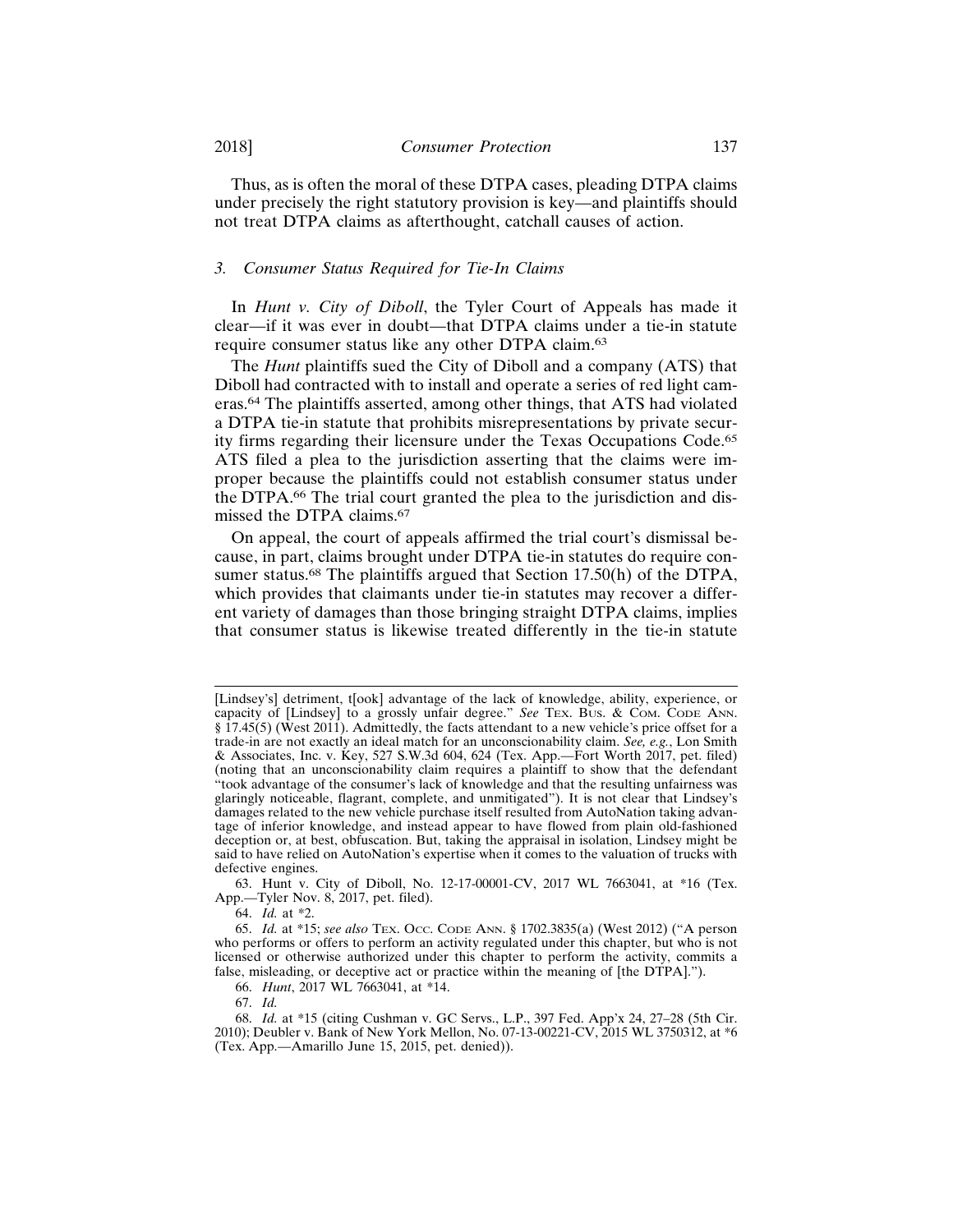Thus, as is often the moral of these DTPA cases, pleading DTPA claims under precisely the right statutory provision is key—and plaintiffs should

not treat DTPA claims as afterthought, catchall causes of action.

#### *3. Consumer Status Required for Tie-In Claims*

In *Hunt v. City of Diboll*, the Tyler Court of Appeals has made it clear—if it was ever in doubt—that DTPA claims under a tie-in statute require consumer status like any other DTPA claim.<sup>63</sup>

The *Hunt* plaintiffs sued the City of Diboll and a company (ATS) that Diboll had contracted with to install and operate a series of red light cameras.64 The plaintiffs asserted, among other things, that ATS had violated a DTPA tie-in statute that prohibits misrepresentations by private security firms regarding their licensure under the Texas Occupations Code.<sup>65</sup> ATS filed a plea to the jurisdiction asserting that the claims were improper because the plaintiffs could not establish consumer status under the DTPA.66 The trial court granted the plea to the jurisdiction and dismissed the DTPA claims.<sup>67</sup>

On appeal, the court of appeals affirmed the trial court's dismissal because, in part, claims brought under DTPA tie-in statutes do require consumer status.<sup>68</sup> The plaintiffs argued that Section 17.50(h) of the DTPA, which provides that claimants under tie-in statutes may recover a different variety of damages than those bringing straight DTPA claims, implies that consumer status is likewise treated differently in the tie-in statute

<sup>[</sup>Lindsey's] detriment, t[ook] advantage of the lack of knowledge, ability, experience, or capacity of [Lindsey] to a grossly unfair degree." *See* TEX. BUS. & COM. CODE ANN. § 17.45(5) (West 2011). Admittedly, the facts attendant to a new vehicle's price offset for a trade-in are not exactly an ideal match for an unconscionability claim. *See, e.g.*, Lon Smith & Associates, Inc. v. Key, 527 S.W.3d 604, 624 (Tex. App.—Fort Worth 2017, pet. filed) (noting that an unconscionability claim requires a plaintiff to show that the defendant "took advantage of the consumer's lack of knowledge and that the resulting unfairness was glaringly noticeable, flagrant, complete, and unmitigated"). It is not clear that Lindsey's damages related to the new vehicle purchase itself resulted from AutoNation taking advantage of inferior knowledge, and instead appear to have flowed from plain old-fashioned deception or, at best, obfuscation. But, taking the appraisal in isolation, Lindsey might be said to have relied on AutoNation's expertise when it comes to the valuation of trucks with defective engines.

<sup>63.</sup> Hunt v. City of Diboll, No. 12-17-00001-CV, 2017 WL 7663041, at \*16 (Tex. App.—Tyler Nov. 8, 2017, pet. filed).

<sup>64.</sup> *Id.* at \*2.

<sup>65.</sup> *Id.* at \*15; *see also* TEX. OCC. CODE ANN. § 1702.3835(a) (West 2012) ("A person who performs or offers to perform an activity regulated under this chapter, but who is not licensed or otherwise authorized under this chapter to perform the activity, commits a false, misleading, or deceptive act or practice within the meaning of [the DTPA].").

<sup>66.</sup> *Hunt*, 2017 WL 7663041, at \*14.

<sup>67.</sup> *Id.*

<sup>68.</sup> *Id.* at \*15 (citing Cushman v. GC Servs., L.P., 397 Fed. App'x 24, 27–28 (5th Cir. 2010); Deubler v. Bank of New York Mellon, No. 07-13-00221-CV, 2015 WL 3750312, at \*6 (Tex. App.—Amarillo June 15, 2015, pet. denied)).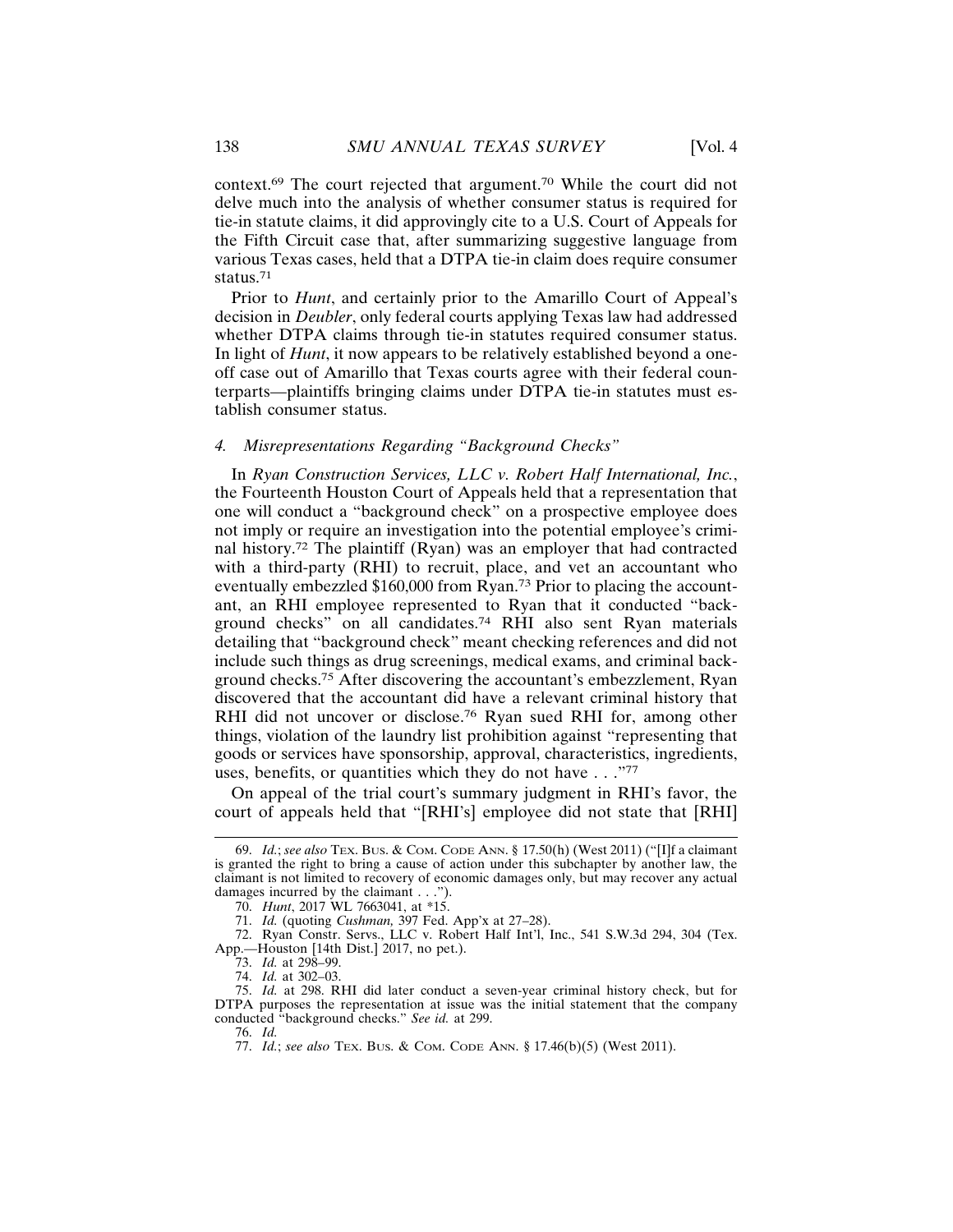context.69 The court rejected that argument.70 While the court did not delve much into the analysis of whether consumer status is required for tie-in statute claims, it did approvingly cite to a U.S. Court of Appeals for the Fifth Circuit case that, after summarizing suggestive language from various Texas cases, held that a DTPA tie-in claim does require consumer status.71

Prior to *Hunt*, and certainly prior to the Amarillo Court of Appeal's decision in *Deubler*, only federal courts applying Texas law had addressed whether DTPA claims through tie-in statutes required consumer status. In light of *Hunt*, it now appears to be relatively established beyond a oneoff case out of Amarillo that Texas courts agree with their federal counterparts—plaintiffs bringing claims under DTPA tie-in statutes must establish consumer status.

## *4. Misrepresentations Regarding "Background Checks"*

In *Ryan Construction Services, LLC v. Robert Half International, Inc.*, the Fourteenth Houston Court of Appeals held that a representation that one will conduct a "background check" on a prospective employee does not imply or require an investigation into the potential employee's criminal history.72 The plaintiff (Ryan) was an employer that had contracted with a third-party (RHI) to recruit, place, and vet an accountant who eventually embezzled \$160,000 from Ryan.73 Prior to placing the accountant, an RHI employee represented to Ryan that it conducted "background checks" on all candidates.74 RHI also sent Ryan materials detailing that "background check" meant checking references and did not include such things as drug screenings, medical exams, and criminal background checks.75 After discovering the accountant's embezzlement, Ryan discovered that the accountant did have a relevant criminal history that RHI did not uncover or disclose.<sup>76</sup> Ryan sued RHI for, among other things, violation of the laundry list prohibition against "representing that goods or services have sponsorship, approval, characteristics, ingredients, uses, benefits, or quantities which they do not have . . . "77

On appeal of the trial court's summary judgment in RHI's favor, the court of appeals held that "[RHI's] employee did not state that [RHI]

76. *Id.*

<sup>69.</sup> *Id.*; *see also* TEX. BUS. & COM. CODE ANN. § 17.50(h) (West 2011) ("[I]f a claimant is granted the right to bring a cause of action under this subchapter by another law, the claimant is not limited to recovery of economic damages only, but may recover any actual damages incurred by the claimant . . .").

<sup>70.</sup> *Hunt*, 2017 WL 7663041, at \*15.

<sup>71.</sup> *Id.* (quoting *Cushman,* 397 Fed. App'x at 27–28).

<sup>72.</sup> Ryan Constr. Servs., LLC v. Robert Half Int'l, Inc., 541 S.W.3d 294, 304 (Tex. App.—Houston [14th Dist.] 2017, no pet.).

<sup>73.</sup> *Id.* at 298–99.

<sup>74.</sup> *Id.* at 302–03.

<sup>75.</sup> *Id.* at 298. RHI did later conduct a seven-year criminal history check, but for DTPA purposes the representation at issue was the initial statement that the company conducted "background checks." *See id.* at 299.

<sup>77.</sup> *Id.*; *see also* TEX. BUS. & COM. CODE ANN. § 17.46(b)(5) (West 2011).